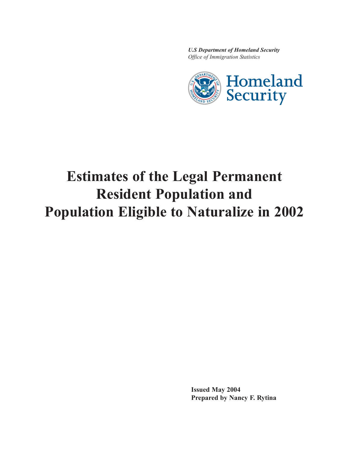*U.S Department of Homeland Security Office of Immigration Statistics*



# **Estimates of the Legal Permanent Resident Population and Population Eligible to Naturalize in 2002**

**Issued May 2004 Prepared by Nancy F. Rytina**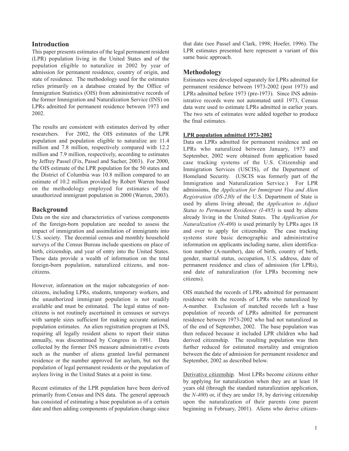# **Introduction**

This paper presents estimates of the legal permanent resident (LPR) population living in the United States and of the population eligible to naturalize in 2002 by year of admission for permanent residence, country of origin, and state of residence. The methodology used for the estimates relies primarily on a database created by the Office of Immigration Statistics (OIS) from administrative records of the former Immigration and Naturalization Service (INS) on LPRs admitted for permanent residence between 1973 and 2002.

The results are consistent with estimates derived by other researchers. For 2002, the OIS estimates of the LPR population and population eligible to naturalize are 11.4 million and 7.8 million, respectively compared with 12.2 million and 7.9 million, respectively, according to estimates by Jeffrey Passel (Fix, Passel and Sucher, 2003). For 2000, the OIS estimate of the LPR population for the 50 states and the District of Columbia was 10.8 million compared to an estimate of 10.2 million provided by Robert Warren based on the methodology employed for estimates of the unauthorized immigrant population in 2000 (Warren, 2003).

# **Background**

Data on the size and characteristics of various components of the foreign-born population are needed to assess the impact of immigration and assimilation of immigrants into U.S. society. The decennial census and monthly household surveys of the Census Bureau include questions on place of birth, citizenship, and year of entry into the United States. These data provide a wealth of information on the total foreign-born population, naturalized citizens, and noncitizens.

However, information on the major subcategories of noncitizens, including LPRs, students, temporary workers, and the unauthorized immigrant population is not readily available and must be estimated. The legal status of noncitizens is not routinely ascertained in censuses or surveys with sample sizes sufficient for making accurate national population estimates. An alien registration program at INS, requiring all legally resident aliens to report their status annually, was discontinued by Congress in 1981. Data collected by the former INS measure administrative events such as the number of aliens granted lawful permanent residence or the number approved for asylum, but not the population of legal permanent residents or the population of asylees living in the United States at a point in time.

Recent estimates of the LPR population have been derived primarily from Census and INS data. The general approach has consisted of estimating a base population as of a certain date and then adding components of population change since

that date (see Passel and Clark, 1998; Hoefer, 1996). The LPR estimates presented here represent a variant of this same basic approach.

# **Methodology**

Estimates were developed separately for LPRs admitted for permanent residence between 1973-2002 (post 1973) and LPRs admitted before 1973 (pre-1973). Since INS administrative records were not automated until 1973, Census data were used to estimate LPRs admitted in earlier years. The two sets of estimates were added together to produce the final estimates.

#### **LPR population admitted 1973-2002**

Data on LPRs admitted for permanent residence and on LPRs who naturalized between January, 1973 and September, 2002 were obtained from application based case tracking systems of the U.S. Citizenship and Immigration Services (USCIS), of the Department of Homeland Security. (USCIS was formerly part of the Immigration and Naturalization Service.) For LPR admissions, the *Application for Immigrant Visa and Alien Registration (DS-230)* of the U.S. Department of State is used by aliens living abroad; the *Application to Adjust Status to Permanent Residence (I-485)* is used by aliens already living in the United States. The *Application for Naturalization (N-400)* is used primarily by LPRs ages 18 and over to apply for citizenship. The case tracking systems store basic demographic and administrative information on applicants including name, alien identification number (A-number), date of birth, country of birth, gender, marital status, occupation, U.S. address, date of permanent residence and class of admission (for LPRs), and date of naturalization (for LPRs becoming new citizens).

OIS matched the records of LPRs admitted for permanent residence with the records of LPRs who naturalized by A-number. Exclusion of matched records left a base population of records of LPRs admitted for permanent residence between 1973-2002 who had not naturalized as of the end of September, 2002. The base population was then reduced because it included LPR children who had derived citizenship. The resulting population was then further reduced for estimated mortality and emigration between the date of admission for permanent residence and September, 2002 as described below.

Derivative citizenship. Most LPRs become citizens either by applying for naturalization when they are at least 18 years old (through the standard naturalization application, the *N-400*) or, if they are under 18, by deriving citizenship upon the naturalization of their parents (one parent beginning in February, 2001). Aliens who derive citizen-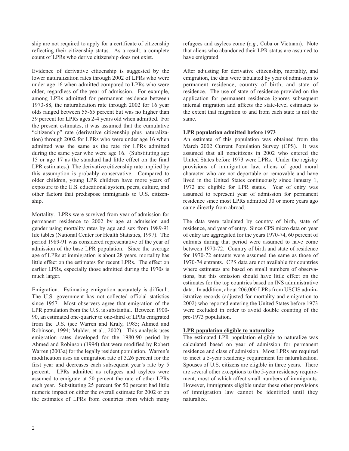ship are not required to apply for a certificate of citizenship reflecting their citizenship status. As a result, a complete count of LPRs who derive citizenship does not exist.

Evidence of derivative citizenship is suggested by the lower naturalization rates through 2002 of LPRs who were under age 16 when admitted compared to LPRs who were older, regardless of the year of admission. For example, among LPRs admitted for permanent residence between 1973-88, the naturalization rate through 2002 for 16 year olds ranged between 55-65 percent but was no higher than 39 percent for LPRs ages 2-4 years old when admitted. For the present estimates, it was assumed that the cumulative "citizenship" rate (derivative citizenship plus naturalization) through 2002 for LPRs who were under age 16 when admitted was the same as the rate for LPRs admitted during the same year who were age 16. (Substituting age 15 or age 17 as the standard had little effect on the final LPR estimates.) The derivative citizenship rate implied by this assumption is probably conservative. Compared to older children, young LPR children have more years of exposure to the U.S. educational system, peers, culture, and other factors that predispose immigrants to U.S. citizenship.

Mortality. LPRs were survived from year of admission for permanent residence to 2002 by age at admission and gender using mortality rates by age and sex from 1989-91 life tables (National Center for Health Statistics, 1997). The period 1989-91 was considered representative of the year of admission of the base LPR population. Since the average age of LPRs at immigration is about 28 years, mortality has little effect on the estimates for recent LPRs. The effect on earlier LPRs, especially those admitted during the 1970s is much larger.

Emigration. Estimating emigration accurately is difficult. The U.S. government has not collected official statistics since 1957. Most observers agree that emigration of the LPR population from the U.S. is substantial. Between 1900- 90, an estimated one-quarter to one-third of LPRs emigrated from the U.S. (see Warren and Kraly, 1985; Ahmed and Robinson, 1994; Mulder, et al., 2002). This analysis uses emigration rates developed for the 1980-90 period by Ahmed and Robinson (1994) that were modified by Robert Warren (2003a) for the legally resident population. Warren's modification uses an emigration rate of 3.26 percent for the first year and decreases each subsequent year's rate by 5 percent. LPRs admitted as refugees and asylees were assumed to emigrate at 50 percent the rate of other LPRs each year. Substituting 25 percent for 50 percent had little numeric impact on either the overall estimate for 2002 or on the estimates of LPRs from countries from which many refugees and asylees come (*e.g.,* Cuba or Vietnam). Note that aliens who abandoned their LPR status are assumed to have emigrated.

After adjusting for derivative citizenship, mortality, and emigration, the data were tabulated by year of admission to permanent residence, country of birth, and state of residence. The use of state of residence provided on the application for permanent residence ignores subsequent internal migration and affects the state-level estimates to the extent that migration to and from each state is not the same.

## **LPR population admitted before 1973**

An estimate of this population was obtained from the March 2002 Current Population Survey (CPS). It was assumed that all noncitizens in 2002 who entered the United States before 1973 were LPRs. Under the registry provisions of immigration law, aliens of good moral character who are not deportable or removable and have lived in the United States continuously since January 1, 1972 are eligible for LPR status. Year of entry was assumed to represent year of admission for permanent residence since most LPRs admitted 30 or more years ago came directly from abroad.

The data were tabulated by country of birth, state of residence, and year of entry. Since CPS micro data on year of entry are aggregated for the years 1970-74, 60 percent of entrants during that period were assumed to have come between 1970-72. Country of birth and state of residence for 1970-72 entrants were assumed the same as those of 1970-74 entrants. CPS data are not available for countries where estimates are based on small numbers of observations, but this omission should have little effect on the estimates for the top countries based on INS administrative data. In addition, about 206,000 LPRs from USCIS administrative records (adjusted for mortality and emigration to 2002) who reported entering the United States before 1973 were excluded in order to avoid double counting of the pre-1973 population.

## **LPR population eligible to naturalize**

The estimated LPR population eligible to naturalize was calculated based on year of admission for permanent residence and class of admission. Most LPRs are required to meet a 5-year residency requirement for naturalization. Spouses of U.S. citizens are eligible in three years. There are several other exceptions to the 5-year residency requirement, most of which affect small numbers of immigrants. However, immigrants eligible under these other provisions of immigration law cannot be identified until they naturalize.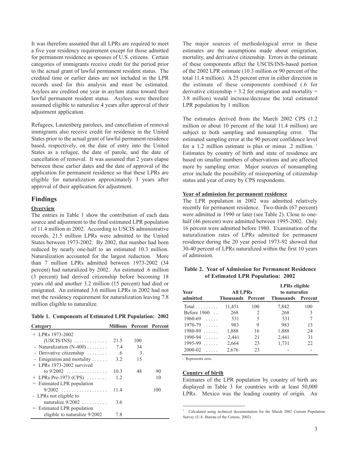It was therefore assumed that all LPRs are required to meet a five year residency requirement except for those admitted for permanent residence as spouses of U.S. citizens. Certain categories of immigrants receive credit for the period prior to the actual grant of lawful permanent resident status. The credited time or earlier dates are not included in the LPR records used for this analysis and must be estimated. Asylees are credited one year in asylum status toward their lawful permanent resident status. Asylees were therefore assumed eligible to naturalize 4 years after approval of their adjustment application.

Refugees, Lautenberg parolees, and cancellation of removal immigrants also receive credit for residence in the United States prior to the actual grant of lawful permanent residence based, respectively, on the date of entry into the United States as a refugee, the date of parole, and the date of cancellation of removal. It was assumed that 2 years elapse between these earlier dates and the date of approval of the application for permanent residence so that these LPRs are eligible for naturalization approximately 3 years after approval of their application for adjustment.

#### **Findings**

#### **Overview**

The entries in Table 1 show the contribution of each data source and adjustment to the final estimated LPR population of 11.4 million in 2002. According to USCIS administrative records, 21.5 million LPRs were admitted to the United States between 1973-2002. By 2002, that number had been reduced by nearly one-half to an estimated 10.3 million. Naturalization accounted for the largest reduction. More than 7 million LPRs admitted between 1973-2002 (34 percent) had naturalized by 2002. An estimated .6 million (3 percent) had derived citizenship before becoming 18 years old and another 3.2 million (15 percent) had died or emigrated. An estimated 3.6 million LPRs in 2002 had not met the residency requirement for naturalization leaving 7.8 million eligible to naturalize.

| Table 1. Components of Estimated LPR Population: 2002 |  |  |  |  |  |  |  |  |
|-------------------------------------------------------|--|--|--|--|--|--|--|--|
|-------------------------------------------------------|--|--|--|--|--|--|--|--|

| Category                           |      | <b>Millions Percent Percent</b> |     |
|------------------------------------|------|---------------------------------|-----|
| $+$ LPRs 1973-2002                 |      |                                 |     |
| $(USCIS/INS)$                      | 21.5 | 100                             |     |
| - Naturalization $(N-400)$         | 7.4  | 34                              |     |
| - Derivative citizenship           | .6   | 3                               |     |
| - Emigration and mortality $\dots$ | 3.2  | 15                              |     |
| $=$ LPRs 1973-2002 survived        |      |                                 |     |
| to $9/2002$                        | 10.3 | 48                              | 90  |
| + LPRs Pre-1973 (CPS) $\ldots$     | 12   |                                 | 10  |
| $=$ Estimated LPR population       |      |                                 |     |
| $9/2002$                           | 11.4 |                                 | 100 |
| - LPRs not eligible to             |      |                                 |     |
| naturalize $9/2002$                | 3.6  |                                 |     |
| = Estimated LPR population         |      |                                 |     |
| eligible to naturalize 9/2002      | 7.8  |                                 |     |

The major sources of methodological error in these estimates are the assumptions made about emigration, mortality, and derivative citizenship. Errors in the estimate of these components affect the USCIS/INS-based portion of the 2002 LPR estimate (10.3 million or 90 percent of the total 11.4 million). A 25 percent error in either direction in the estimate of these components combined (.6 for derivative citizenship  $+ 3.2$  for emigration and mortality  $=$ 3.8 million) would increase/decrease the total estimated LPR population by 1 million.

The estimates derived from the March 2002 CPS (1.2 million or about 10 percent of the total 11.4 million) are subject to both sampling and nonsampling error. The estimated sampling error at the 90 percent confidence level for a 1.2 million estimate is plus or minus .2 million. 1 Estimates by country of birth and state of residence are based on smaller numbers of observations and are affected more by sampling error. Major sources of nonsampling error include the possibility of misreporting of citizenship status and year of entry by CPS respondents.

#### **Year of admission for permanent residence**

The LPR population in 2002 was admitted relatively recently for permanent residence. Two-thirds (67 percent) were admitted in 1990 or later (see Table 2). Close to onehalf (46 percent) were admitted between 1995-2002. Only 16 percent were admitted before 1980. Examination of the naturalization rates of LPRs admitted for permanent residence during the 20 year period 1973-92 showed that 30-40 percent of LPRs naturalized within the first 10 years of admission.

#### **Table 2. Year of Admission for Permanent Residence of Estimated LPR Population: 2002**

| <b>Year</b>         | <b>All LPRs</b>          |     | LPRs eligible<br>to naturalize |     |
|---------------------|--------------------------|-----|--------------------------------|-----|
| admitted            | <b>Thousands</b> Percent |     | <b>Thousands</b> Percent       |     |
| $Total \dots \dots$ | 11,451                   | 100 | 7,842                          | 100 |
| Before $1960$       | 268                      | 2   | 268                            | 3   |
| $1960 - 69$         | 531                      | 5   | 531                            | 7   |
| $1970 - 79$         | 983                      | 9   | 983                            | 13  |
| $1980 - 89$         | 1,888                    | 16  | 1,888                          | 24  |
| $1990 - 94$         | 2,441                    | 21  | 2,441                          | 31  |
| $1995 - 99$         | 2,664                    | 23  | 1,731                          | 22  |
| $2000 - 02$         | 2,676                    | 23  |                                |     |

- Represents zero.

#### **Country of birth**

Estimates of the LPR population by country of birth are displayed in Table 3 for countries with at least 50,000 LPRs. Mexico was the leading country of origin. An

<sup>&</sup>lt;sup>1</sup> Calculated using technical documentation for the March 2002 Current Population Survey (U.S. Bureau of the Census, 2002).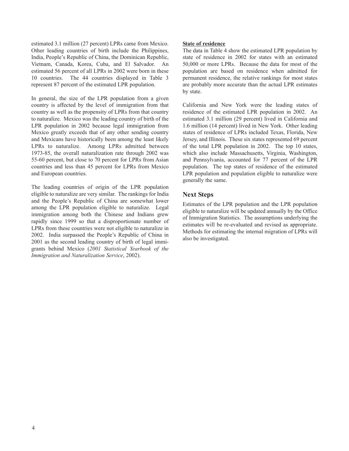estimated 3.1 million (27 percent) LPRs came from Mexico. Other leading countries of birth include the Philippines, India, People's Republic of China, the Dominican Republic, Vietnam, Canada, Korea, Cuba, and El Salvador. An estimated 56 percent of all LPRs in 2002 were born in these 10 countries. The 44 countries displayed in Table 3 represent 87 percent of the estimated LPR population.

In general, the size of the LPR population from a given country is affected by the level of immigration from that country as well as the propensity of LPRs from that country to naturalize. Mexico was the leading country of birth of the LPR population in 2002 because legal immigration from Mexico greatly exceeds that of any other sending country and Mexicans have historically been among the least likely LPRs to naturalize. Among LPRs admitted between 1973-85, the overall naturalization rate through 2002 was 55-60 percent, but close to 70 percent for LPRs from Asian countries and less than 45 percent for LPRs from Mexico and European countries.

The leading countries of origin of the LPR population eligible to naturalize are very similar. The rankings for India and the People's Republic of China are somewhat lower among the LPR population eligible to naturalize. Legal immigration among both the Chinese and Indians grew rapidly since 1999 so that a disproportionate number of LPRs from these countries were not eligible to naturalize in 2002. India surpassed the People's Republic of China in 2001 as the second leading country of birth of legal immigrants behind Mexico (*2001 Statistical Yearbook of the Immigration and Naturalization Service*, 2002).

#### **State of residence**

The data in Table 4 show the estimated LPR population by state of residence in 2002 for states with an estimated 50,000 or more LPRs. Because the data for most of the population are based on residence when admitted for permanent residence, the relative rankings for most states are probably more accurate than the actual LPR estimates by state.

California and New York were the leading states of residence of the estimated LPR population in 2002. An estimated 3.1 million (29 percent) lived in California and 1.6 million (14 percent) lived in New York. Other leading states of residence of LPRs included Texas, Florida, New Jersey, and Illinois. These six states represented 69 percent of the total LPR population in 2002. The top 10 states, which also include Massachusetts, Virginia, Washington, and Pennsylvania, accounted for 77 percent of the LPR population. The top states of residence of the estimated LPR population and population eligible to naturalize were generally the same.

# **Next Steps**

Estimates of the LPR population and the LPR population eligible to naturalize will be updated annually by the Office of Immigration Statistics. The assumptions underlying the estimates will be re-evaluated and revised as appropriate. Methods for estimating the internal migration of LPRs will also be investigated.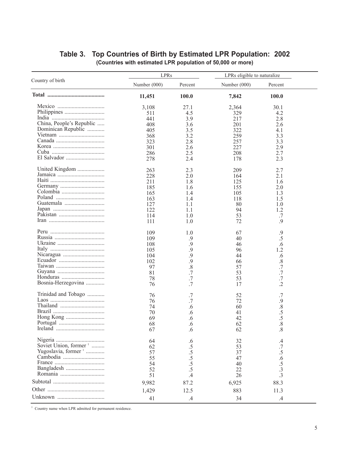# **Table 3. Top Countries of Birth by Estimated LPR Population: 2002 (Countries with estimated LPR population of 50,000 or more)**

|                                                                                                                                                                                                                                                                                                                                                                                                                                                                                                                      | LPRs         |                               | LPRs eligible to naturalize |                 |  |
|----------------------------------------------------------------------------------------------------------------------------------------------------------------------------------------------------------------------------------------------------------------------------------------------------------------------------------------------------------------------------------------------------------------------------------------------------------------------------------------------------------------------|--------------|-------------------------------|-----------------------------|-----------------|--|
| Country of birth                                                                                                                                                                                                                                                                                                                                                                                                                                                                                                     | Number (000) | Percent                       | Number $(000)$              | Percent         |  |
|                                                                                                                                                                                                                                                                                                                                                                                                                                                                                                                      | 11,451       | 100.0                         | 7,842                       | 100.0           |  |
|                                                                                                                                                                                                                                                                                                                                                                                                                                                                                                                      | 3,108        | 27.1                          | 2,364                       | 30.1            |  |
|                                                                                                                                                                                                                                                                                                                                                                                                                                                                                                                      |              |                               |                             |                 |  |
|                                                                                                                                                                                                                                                                                                                                                                                                                                                                                                                      | 511          | 4.5                           | 329                         | 4.2             |  |
|                                                                                                                                                                                                                                                                                                                                                                                                                                                                                                                      | 441          | 3.9                           | 217                         | 2.8             |  |
| China, People's Republic                                                                                                                                                                                                                                                                                                                                                                                                                                                                                             | 408          | 3.6                           | 201                         | 2.6             |  |
| Dominican Republic                                                                                                                                                                                                                                                                                                                                                                                                                                                                                                   | 405          | 3.5                           | 322                         | 4.1             |  |
|                                                                                                                                                                                                                                                                                                                                                                                                                                                                                                                      | 368          | 3.2                           | 259                         | 3.3             |  |
|                                                                                                                                                                                                                                                                                                                                                                                                                                                                                                                      | 323          | 2.8                           | 257                         | 3.3             |  |
|                                                                                                                                                                                                                                                                                                                                                                                                                                                                                                                      | 301          | 2.6                           | 227                         | 2.9             |  |
|                                                                                                                                                                                                                                                                                                                                                                                                                                                                                                                      | 286          | 2.5                           | 208                         | 2.7             |  |
|                                                                                                                                                                                                                                                                                                                                                                                                                                                                                                                      | 278          | 2.4                           | 178                         | 2.3             |  |
| United Kingdom                                                                                                                                                                                                                                                                                                                                                                                                                                                                                                       | 263          | 2.3                           | 209                         | 2.7             |  |
|                                                                                                                                                                                                                                                                                                                                                                                                                                                                                                                      | 228          | 2.0                           | 164                         | 2.1             |  |
|                                                                                                                                                                                                                                                                                                                                                                                                                                                                                                                      | 211          | 1.8                           | 125                         | 1.6             |  |
|                                                                                                                                                                                                                                                                                                                                                                                                                                                                                                                      | 185          | 1.6                           | 155                         | 2.0             |  |
|                                                                                                                                                                                                                                                                                                                                                                                                                                                                                                                      |              |                               |                             |                 |  |
|                                                                                                                                                                                                                                                                                                                                                                                                                                                                                                                      | 165          | 1.4                           | 105                         | 1.3             |  |
|                                                                                                                                                                                                                                                                                                                                                                                                                                                                                                                      | 163          | 1.4                           | 118                         | 1.5             |  |
|                                                                                                                                                                                                                                                                                                                                                                                                                                                                                                                      | 127          | 1.1                           | 80                          | 1.0             |  |
|                                                                                                                                                                                                                                                                                                                                                                                                                                                                                                                      | 122          | 1.1                           | 94                          | 1.2             |  |
|                                                                                                                                                                                                                                                                                                                                                                                                                                                                                                                      | 114          | 1.0                           | 53                          | .7              |  |
|                                                                                                                                                                                                                                                                                                                                                                                                                                                                                                                      | 111          | 1.0                           | 72                          | .9              |  |
|                                                                                                                                                                                                                                                                                                                                                                                                                                                                                                                      | 109          | 1.0                           | 67                          | $\cdot$ 9       |  |
|                                                                                                                                                                                                                                                                                                                                                                                                                                                                                                                      | 109          | $\cdot$ 9                     | 40                          | .5              |  |
|                                                                                                                                                                                                                                                                                                                                                                                                                                                                                                                      | 108          | .9                            | 46                          | .6              |  |
|                                                                                                                                                                                                                                                                                                                                                                                                                                                                                                                      | 105          | .9                            | 96                          | 1.2             |  |
|                                                                                                                                                                                                                                                                                                                                                                                                                                                                                                                      | 104          | 9.                            | 44                          | .6              |  |
|                                                                                                                                                                                                                                                                                                                                                                                                                                                                                                                      | 102          | 9.                            | 66                          | $.8\,$          |  |
|                                                                                                                                                                                                                                                                                                                                                                                                                                                                                                                      |              |                               |                             |                 |  |
|                                                                                                                                                                                                                                                                                                                                                                                                                                                                                                                      | 97           | $\overline{.8}$               | 57                          | .7              |  |
|                                                                                                                                                                                                                                                                                                                                                                                                                                                                                                                      | 81           | $\cdot$ 7                     | 53                          | $.7\,$          |  |
|                                                                                                                                                                                                                                                                                                                                                                                                                                                                                                                      | 78           | .7                            | 53                          | $.7\,$          |  |
| Bosnia-Herzegovina                                                                                                                                                                                                                                                                                                                                                                                                                                                                                                   | 76           | .7                            | 17                          | $\cdot$         |  |
| Trinidad and Tobago                                                                                                                                                                                                                                                                                                                                                                                                                                                                                                  | 76           | .7                            | 52                          | $.7\,$          |  |
|                                                                                                                                                                                                                                                                                                                                                                                                                                                                                                                      | 76           | .7                            | 72                          | $\cdot$ 9       |  |
| $\begin{minipage}{.4\linewidth} \begin{minipage}{.4\linewidth} \begin{minipage}{.4\linewidth} \hspace*{0.08linewidth} \hspace*{0.08linewidth} \hspace*{0.08linewidth} \end{minipage} \end{minipage} \begin{minipage}{.4\linewidth} \hspace*{0.08linewidth} \hspace*{0.08linewidth} \hspace*{0.08linewidth} \hspace*{0.08linewidth} \hspace*{0.08linewidth} \hspace*{0.08linewidth} \hspace*{0.08linewidth} \hspace*{0.08linewidth} \hspace*{0.08linewidth} \hspace*{0.08linewidth} \hspace*{0.08linewidth} \hspace*$ | 74           | .6                            | 60                          |                 |  |
|                                                                                                                                                                                                                                                                                                                                                                                                                                                                                                                      | 70           | .6                            | 41                          | .8.5.5.5        |  |
|                                                                                                                                                                                                                                                                                                                                                                                                                                                                                                                      | 69           | .6                            | 42                          |                 |  |
|                                                                                                                                                                                                                                                                                                                                                                                                                                                                                                                      | 68           | .6                            | 62                          | $\overline{8}$  |  |
|                                                                                                                                                                                                                                                                                                                                                                                                                                                                                                                      | 67           | .6                            | 62                          | .8              |  |
|                                                                                                                                                                                                                                                                                                                                                                                                                                                                                                                      | 64           | .6                            | 32                          | $\mathcal{A}$   |  |
| Soviet Union, former 1                                                                                                                                                                                                                                                                                                                                                                                                                                                                                               | 62           |                               | 53                          |                 |  |
| Yugoslavia, former <sup>1</sup>                                                                                                                                                                                                                                                                                                                                                                                                                                                                                      |              |                               |                             | .7              |  |
|                                                                                                                                                                                                                                                                                                                                                                                                                                                                                                                      | 57           |                               | 37                          | $\frac{.5}{.6}$ |  |
|                                                                                                                                                                                                                                                                                                                                                                                                                                                                                                                      | 55           | $.5 \, 5 \, 5 \, 5 \, 5 \, 5$ | 47                          |                 |  |
|                                                                                                                                                                                                                                                                                                                                                                                                                                                                                                                      | 54           |                               | 40                          | $\frac{.5}{.3}$ |  |
|                                                                                                                                                                                                                                                                                                                                                                                                                                                                                                                      | 52           | .5                            | 22                          |                 |  |
|                                                                                                                                                                                                                                                                                                                                                                                                                                                                                                                      | 51           | $\overline{A}$                | 26                          |                 |  |
|                                                                                                                                                                                                                                                                                                                                                                                                                                                                                                                      | 9,982        | 87.2                          | 6,925                       | 88.3            |  |
|                                                                                                                                                                                                                                                                                                                                                                                                                                                                                                                      | 1,429        | 12.5                          | 883                         | 11.3            |  |
|                                                                                                                                                                                                                                                                                                                                                                                                                                                                                                                      | 41           | $\cdot$                       | 34                          | $\cdot$         |  |

 $^{\rm 1}$  Country name when LPR admitted for permanent residence.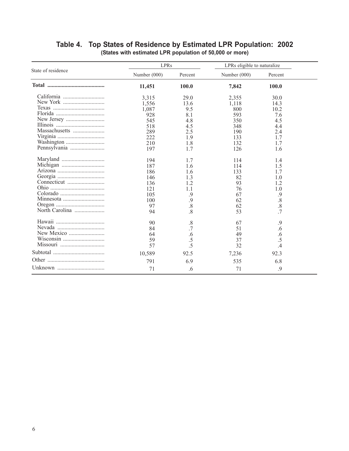# **Table 4. Top States of Residence by Estimated LPR Population: 2002**

| (States with estimated LPR population of 50,000 or more) |  |
|----------------------------------------------------------|--|
|----------------------------------------------------------|--|

|                    | <b>LPRs</b>  |                 | LPRs eligible to naturalize |                         |  |
|--------------------|--------------|-----------------|-----------------------------|-------------------------|--|
| State of residence | Number (000) | Percent         | Number (000)                | Percent                 |  |
|                    | 11,451       | 100.0           | 7,842                       | 100.0                   |  |
|                    | 3.315        | 29.0            | 2,355                       | 30.0                    |  |
|                    | 1,556        | 13.6            | 1,118                       | 14.3                    |  |
|                    | 1.087        | 9.5             | 800                         | 10.2                    |  |
|                    | 928          | 8.1             | 593                         | 7.6                     |  |
|                    | 545          | 4.8             | 350                         | 4.5                     |  |
|                    | 518          | 4.5             | 348                         | 4.4                     |  |
|                    | 289          | 2.5             | 190                         | 2.4                     |  |
|                    | 222          | 1.9             | 133                         | 17                      |  |
|                    | 210          | 1.8             | 132                         | 1.7                     |  |
|                    | 197          | 1.7             | 126                         | 1.6                     |  |
|                    |              |                 |                             |                         |  |
|                    | 194          | 1.7             | 114                         | 1.4                     |  |
|                    | 187          | 1.6             | 114                         | 1.5                     |  |
|                    | 186          | 1.6             | 133                         | 17                      |  |
|                    |              |                 |                             |                         |  |
|                    | 146<br>136   | 1.3             | 82<br>93                    | 1.0                     |  |
|                    |              | 1.2             |                             | 1.2                     |  |
|                    | 121          | 1.1             | 76                          | 1.0                     |  |
|                    | 105          | .9              | 67                          | .9                      |  |
|                    | 100          | .9              | 62                          | $\overline{\mathbf{8}}$ |  |
|                    | 97           | $\overline{.8}$ | 62                          | $\overline{.8}$         |  |
| North Carolina     | 94           | $\overline{8}$  | 53                          | .7                      |  |
|                    | 90           | .8              | 67                          | .9                      |  |
|                    | 84           | .7              | 51                          | .6                      |  |
|                    | 64           | .6              | 49                          | .6                      |  |
|                    | 59           | .5              | 37                          | .5                      |  |
|                    | 57           | .5              | 32                          |                         |  |
|                    |              |                 |                             | .4                      |  |
|                    | 10,589       | 92.5            | 7,236                       | 92.3                    |  |
|                    | 791          | 6.9             | 535                         | 6.8                     |  |
|                    | 71           | .6              | 71                          | .9                      |  |